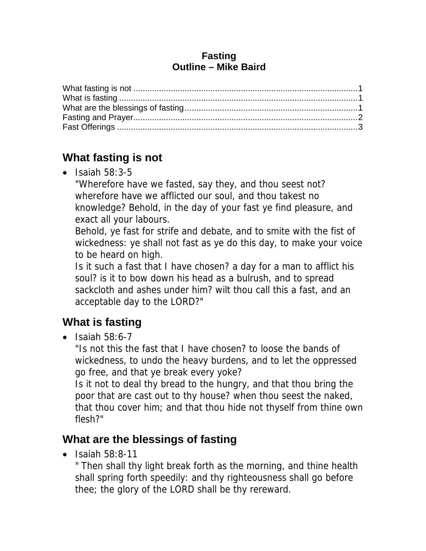#### **Fasting Outline – Mike Baird**

### **What fasting is not**

 $\bullet$  Isaiah 58:3-5

"Wherefore have we fasted, say they, and thou seest not? wherefore have we afflicted our soul, and thou takest no knowledge? Behold, in the day of your fast ye find pleasure, and exact all your labours.

Behold, ye fast for strife and debate, and to smite with the fist of wickedness: ye shall not fast as ye do this day, to make your voice to be heard on high.

Is it such a fast that I have chosen? a day for a man to afflict his soul? is it to bow down his head as a bulrush, and to spread sackcloth and ashes under him? wilt thou call this a fast, and an acceptable day to the LORD?"

# **What is fasting**

 $\bullet$  Isaiah 58:6-7

"Is not this the fast that I have chosen? to loose the bands of wickedness, to undo the heavy burdens, and to let the oppressed go free, and that ye break every yoke?

Is it not to deal thy bread to the hungry, and that thou bring the poor that are cast out to thy house? when thou seest the naked, that thou cover him; and that thou hide not thyself from thine own flesh?"

# **What are the blessings of fasting**

 $\bullet$  Isaiah 58:8-11

" Then shall thy light break forth as the morning, and thine health shall spring forth speedily: and thy righteousness shall go before thee; the glory of the LORD shall be thy rereward.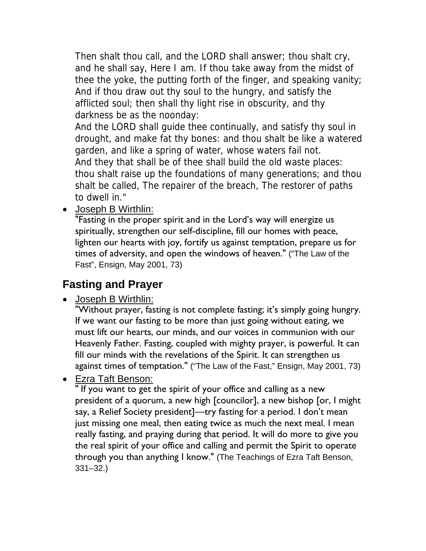Then shalt thou call, and the LORD shall answer; thou shalt cry, and he shall say, Here I am. If thou take away from the midst of thee the yoke, the putting forth of the finger, and speaking vanity; And if thou draw out thy soul to the hungry, and satisfy the afflicted soul; then shall thy light rise in obscurity, and thy darkness be as the noonday:

And the LORD shall guide thee continually, and satisfy thy soul in drought, and make fat thy bones: and thou shalt be like a watered garden, and like a spring of water, whose waters fail not. And they that shall be of thee shall build the old waste places: thou shalt raise up the foundations of many generations; and thou shalt be called, The repairer of the breach, The restorer of paths to dwell in."

• Joseph B Wirthlin:

"Fasting in the proper spirit and in the Lord's way will energize us spiritually, strengthen our self-discipline, fill our homes with peace, lighten our hearts with joy, fortify us against temptation, prepare us for times of adversity, and open the windows of heaven." ("The Law of the Fast", Ensign, May 2001, 73)

#### **Fasting and Prayer**

• Joseph B Wirthlin:

"Without prayer, fasting is not complete fasting; it's simply going hungry. If we want our fasting to be more than just going without eating, we must lift our hearts, our minds, and our voices in communion with our Heavenly Father. Fasting, coupled with mighty prayer, is powerful. It can fill our minds with the revelations of the Spirit. It can strengthen us against times of temptation." ("The Law of the Fast," Ensign, May 2001, 73)

Ezra Taft Benson:

" If you want to get the spirit of your office and calling as a new president of a quorum, a new high [councilor], a new bishop [or, I might say, a Relief Society president]—try fasting for a period. I don't mean just missing one meal, then eating twice as much the next meal. I mean really fasting, and praying during that period. It will do more to give you the real spirit of your office and calling and permit the Spirit to operate through you than anything I know." (The Teachings of Ezra Taft Benson, 331–32.)